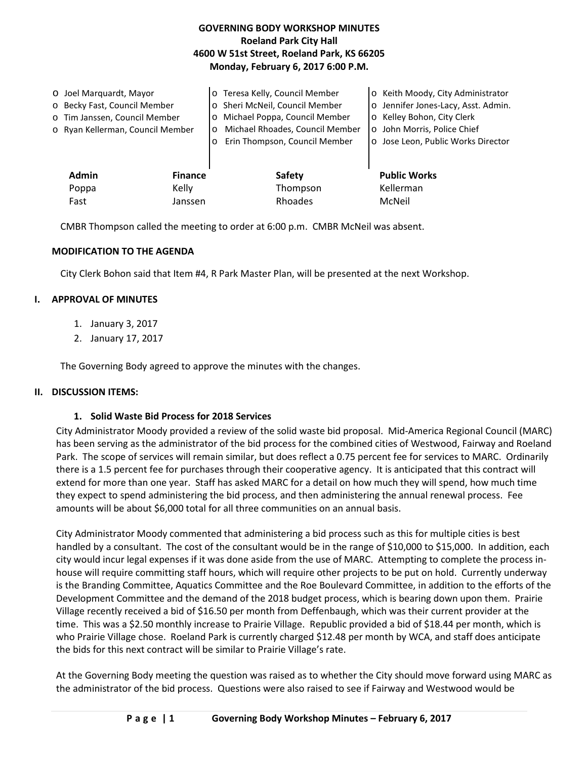| <b>GOVERNING BODY WORKSHOP MINUTES</b>     |  |  |  |  |
|--------------------------------------------|--|--|--|--|
| <b>Roeland Park City Hall</b>              |  |  |  |  |
| 4600 W 51st Street, Roeland Park, KS 66205 |  |  |  |  |
| Monday, February 6, 2017 6:00 P.M.         |  |  |  |  |

| O Joel Marquardt, Mayor       |                                  |                | o Teresa Kelly, Council Member             | o Keith Moody, City Administrator   |
|-------------------------------|----------------------------------|----------------|--------------------------------------------|-------------------------------------|
| o Becky Fast, Council Member  |                                  |                | o Sheri McNeil, Council Member             | o Jennifer Jones-Lacy, Asst. Admin. |
| o Tim Janssen, Council Member |                                  |                | Michael Poppa, Council Member<br>$\circ$   | o Kelley Bohon, City Clerk          |
|                               | o Ryan Kellerman, Council Member |                | Michael Rhoades, Council Member<br>$\circ$ | o John Morris, Police Chief         |
|                               |                                  |                | Erin Thompson, Council Member              | o Jose Leon, Public Works Director  |
|                               |                                  |                |                                            |                                     |
|                               | <b>Admin</b>                     | <b>Finance</b> | <b>Safety</b>                              | <b>Public Works</b>                 |
|                               | Poppa                            | Kelly          | Thompson                                   | Kellerman                           |
|                               | Fast                             | Janssen        | Rhoades                                    | McNeil                              |

CMBR Thompson called the meeting to order at 6:00 p.m. CMBR McNeil was absent.

#### **MODIFICATION TO THE AGENDA**

City Clerk Bohon said that Item #4, R Park Master Plan, will be presented at the next Workshop.

#### **I. APPROVAL OF MINUTES**

- 1. January 3, 2017
- 2. January 17, 2017

The Governing Body agreed to approve the minutes with the changes.

#### **II. DISCUSSION ITEMS:**

#### **1. Solid Waste Bid Process for 2018 Services**

City Administrator Moody provided a review of the solid waste bid proposal. Mid-America Regional Council (MARC) has been serving as the administrator of the bid process for the combined cities of Westwood, Fairway and Roeland Park. The scope of services will remain similar, but does reflect a 0.75 percent fee for services to MARC. Ordinarily there is a 1.5 percent fee for purchases through their cooperative agency. It is anticipated that this contract will extend for more than one year. Staff has asked MARC for a detail on how much they will spend, how much time they expect to spend administering the bid process, and then administering the annual renewal process. Fee amounts will be about \$6,000 total for all three communities on an annual basis.

City Administrator Moody commented that administering a bid process such as this for multiple cities is best handled by a consultant. The cost of the consultant would be in the range of \$10,000 to \$15,000. In addition, each city would incur legal expenses if it was done aside from the use of MARC. Attempting to complete the process inhouse will require committing staff hours, which will require other projects to be put on hold. Currently underway is the Branding Committee, Aquatics Committee and the Roe Boulevard Committee, in addition to the efforts of the Development Committee and the demand of the 2018 budget process, which is bearing down upon them. Prairie Village recently received a bid of \$16.50 per month from Deffenbaugh, which was their current provider at the time. This was a \$2.50 monthly increase to Prairie Village. Republic provided a bid of \$18.44 per month, which is who Prairie Village chose. Roeland Park is currently charged \$12.48 per month by WCA, and staff does anticipate the bids for this next contract will be similar to Prairie Village's rate.

At the Governing Body meeting the question was raised as to whether the City should move forward using MARC as the administrator of the bid process. Questions were also raised to see if Fairway and Westwood would be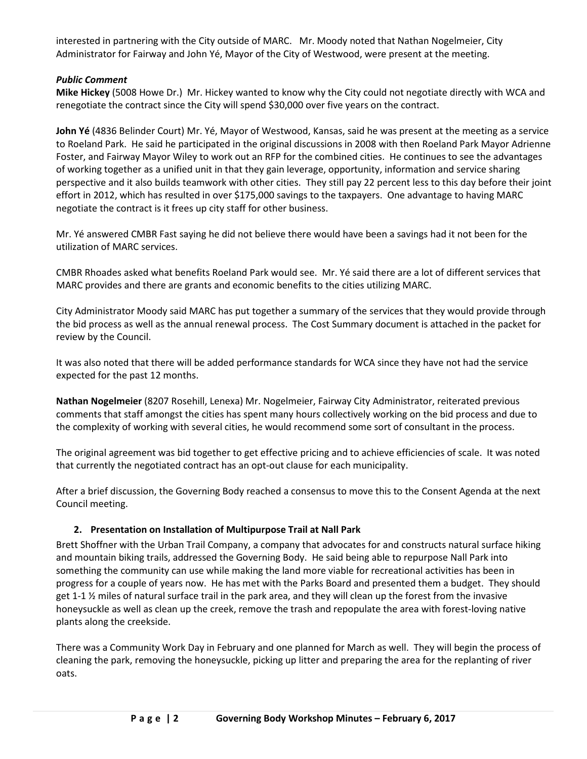interested in partnering with the City outside of MARC. Mr. Moody noted that Nathan Nogelmeier, City Administrator for Fairway and John Yé, Mayor of the City of Westwood, were present at the meeting.

### *Public Comment*

**Mike Hickey** (5008 Howe Dr.) Mr. Hickey wanted to know why the City could not negotiate directly with WCA and renegotiate the contract since the City will spend \$30,000 over five years on the contract.

**John Yé** (4836 Belinder Court) Mr. Yé, Mayor of Westwood, Kansas, said he was present at the meeting as a service to Roeland Park. He said he participated in the original discussions in 2008 with then Roeland Park Mayor Adrienne Foster, and Fairway Mayor Wiley to work out an RFP for the combined cities. He continues to see the advantages of working together as a unified unit in that they gain leverage, opportunity, information and service sharing perspective and it also builds teamwork with other cities. They still pay 22 percent less to this day before their joint effort in 2012, which has resulted in over \$175,000 savings to the taxpayers. One advantage to having MARC negotiate the contract is it frees up city staff for other business.

Mr. Yé answered CMBR Fast saying he did not believe there would have been a savings had it not been for the utilization of MARC services.

CMBR Rhoades asked what benefits Roeland Park would see. Mr. Yé said there are a lot of different services that MARC provides and there are grants and economic benefits to the cities utilizing MARC.

City Administrator Moody said MARC has put together a summary of the services that they would provide through the bid process as well as the annual renewal process. The Cost Summary document is attached in the packet for review by the Council.

It was also noted that there will be added performance standards for WCA since they have not had the service expected for the past 12 months.

**Nathan Nogelmeier** (8207 Rosehill, Lenexa) Mr. Nogelmeier, Fairway City Administrator, reiterated previous comments that staff amongst the cities has spent many hours collectively working on the bid process and due to the complexity of working with several cities, he would recommend some sort of consultant in the process.

The original agreement was bid together to get effective pricing and to achieve efficiencies of scale. It was noted that currently the negotiated contract has an opt-out clause for each municipality.

After a brief discussion, the Governing Body reached a consensus to move this to the Consent Agenda at the next Council meeting.

### **2. Presentation on Installation of Multipurpose Trail at Nall Park**

Brett Shoffner with the Urban Trail Company, a company that advocates for and constructs natural surface hiking and mountain biking trails, addressed the Governing Body. He said being able to repurpose Nall Park into something the community can use while making the land more viable for recreational activities has been in progress for a couple of years now. He has met with the Parks Board and presented them a budget. They should get 1-1 ½ miles of natural surface trail in the park area, and they will clean up the forest from the invasive honeysuckle as well as clean up the creek, remove the trash and repopulate the area with forest-loving native plants along the creekside.

There was a Community Work Day in February and one planned for March as well. They will begin the process of cleaning the park, removing the honeysuckle, picking up litter and preparing the area for the replanting of river oats.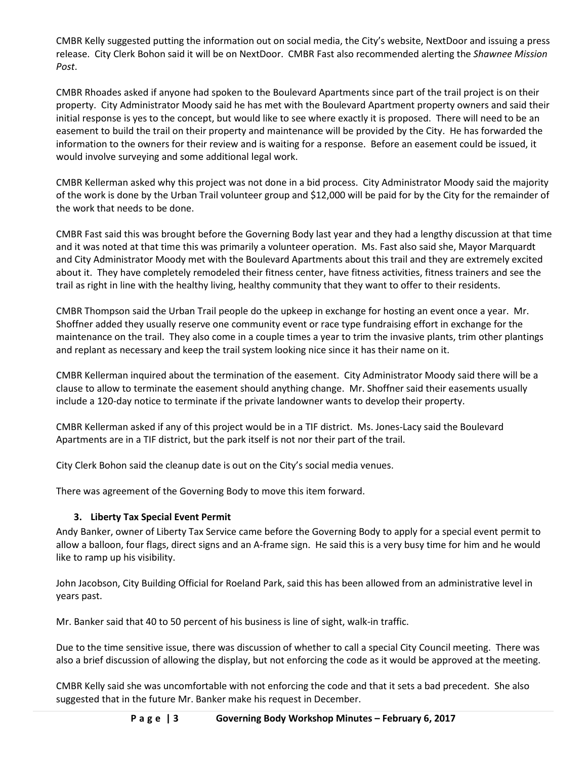CMBR Kelly suggested putting the information out on social media, the City's website, NextDoor and issuing a press release. City Clerk Bohon said it will be on NextDoor. CMBR Fast also recommended alerting the *Shawnee Mission Post*.

CMBR Rhoades asked if anyone had spoken to the Boulevard Apartments since part of the trail project is on their property. City Administrator Moody said he has met with the Boulevard Apartment property owners and said their initial response is yes to the concept, but would like to see where exactly it is proposed. There will need to be an easement to build the trail on their property and maintenance will be provided by the City. He has forwarded the information to the owners for their review and is waiting for a response. Before an easement could be issued, it would involve surveying and some additional legal work.

CMBR Kellerman asked why this project was not done in a bid process. City Administrator Moody said the majority of the work is done by the Urban Trail volunteer group and \$12,000 will be paid for by the City for the remainder of the work that needs to be done.

CMBR Fast said this was brought before the Governing Body last year and they had a lengthy discussion at that time and it was noted at that time this was primarily a volunteer operation. Ms. Fast also said she, Mayor Marquardt and City Administrator Moody met with the Boulevard Apartments about this trail and they are extremely excited about it. They have completely remodeled their fitness center, have fitness activities, fitness trainers and see the trail as right in line with the healthy living, healthy community that they want to offer to their residents.

CMBR Thompson said the Urban Trail people do the upkeep in exchange for hosting an event once a year. Mr. Shoffner added they usually reserve one community event or race type fundraising effort in exchange for the maintenance on the trail. They also come in a couple times a year to trim the invasive plants, trim other plantings and replant as necessary and keep the trail system looking nice since it has their name on it.

CMBR Kellerman inquired about the termination of the easement. City Administrator Moody said there will be a clause to allow to terminate the easement should anything change. Mr. Shoffner said their easements usually include a 120-day notice to terminate if the private landowner wants to develop their property.

CMBR Kellerman asked if any of this project would be in a TIF district. Ms. Jones-Lacy said the Boulevard Apartments are in a TIF district, but the park itself is not nor their part of the trail.

City Clerk Bohon said the cleanup date is out on the City's social media venues.

There was agreement of the Governing Body to move this item forward.

# **3. Liberty Tax Special Event Permit**

Andy Banker, owner of Liberty Tax Service came before the Governing Body to apply for a special event permit to allow a balloon, four flags, direct signs and an A-frame sign. He said this is a very busy time for him and he would like to ramp up his visibility.

John Jacobson, City Building Official for Roeland Park, said this has been allowed from an administrative level in years past.

Mr. Banker said that 40 to 50 percent of his business is line of sight, walk-in traffic.

Due to the time sensitive issue, there was discussion of whether to call a special City Council meeting. There was also a brief discussion of allowing the display, but not enforcing the code as it would be approved at the meeting.

CMBR Kelly said she was uncomfortable with not enforcing the code and that it sets a bad precedent. She also suggested that in the future Mr. Banker make his request in December.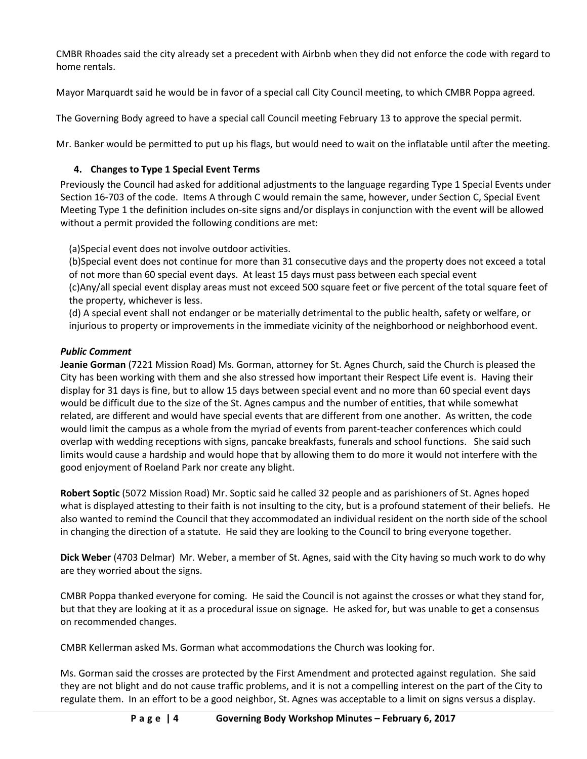CMBR Rhoades said the city already set a precedent with Airbnb when they did not enforce the code with regard to home rentals.

Mayor Marquardt said he would be in favor of a special call City Council meeting, to which CMBR Poppa agreed.

The Governing Body agreed to have a special call Council meeting February 13 to approve the special permit.

Mr. Banker would be permitted to put up his flags, but would need to wait on the inflatable until after the meeting.

# **4. Changes to Type 1 Special Event Terms**

Previously the Council had asked for additional adjustments to the language regarding Type 1 Special Events under Section 16-703 of the code. Items A through C would remain the same, however, under Section C, Special Event Meeting Type 1 the definition includes on-site signs and/or displays in conjunction with the event will be allowed without a permit provided the following conditions are met:

(a)Special event does not involve outdoor activities.

(b)Special event does not continue for more than 31 consecutive days and the property does not exceed a total of not more than 60 special event days. At least 15 days must pass between each special event (c)Any/all special event display areas must not exceed 500 square feet or five percent of the total square feet of the property, whichever is less.

(d) A special event shall not endanger or be materially detrimental to the public health, safety or welfare, or injurious to property or improvements in the immediate vicinity of the neighborhood or neighborhood event.

## *Public Comment*

**Jeanie Gorman** (7221 Mission Road) Ms. Gorman, attorney for St. Agnes Church, said the Church is pleased the City has been working with them and she also stressed how important their Respect Life event is. Having their display for 31 days is fine, but to allow 15 days between special event and no more than 60 special event days would be difficult due to the size of the St. Agnes campus and the number of entities, that while somewhat related, are different and would have special events that are different from one another. As written, the code would limit the campus as a whole from the myriad of events from parent-teacher conferences which could overlap with wedding receptions with signs, pancake breakfasts, funerals and school functions. She said such limits would cause a hardship and would hope that by allowing them to do more it would not interfere with the good enjoyment of Roeland Park nor create any blight.

**Robert Soptic** (5072 Mission Road) Mr. Soptic said he called 32 people and as parishioners of St. Agnes hoped what is displayed attesting to their faith is not insulting to the city, but is a profound statement of their beliefs. He also wanted to remind the Council that they accommodated an individual resident on the north side of the school in changing the direction of a statute. He said they are looking to the Council to bring everyone together.

**Dick Weber** (4703 Delmar) Mr. Weber, a member of St. Agnes, said with the City having so much work to do why are they worried about the signs.

CMBR Poppa thanked everyone for coming. He said the Council is not against the crosses or what they stand for, but that they are looking at it as a procedural issue on signage. He asked for, but was unable to get a consensus on recommended changes.

CMBR Kellerman asked Ms. Gorman what accommodations the Church was looking for.

Ms. Gorman said the crosses are protected by the First Amendment and protected against regulation. She said they are not blight and do not cause traffic problems, and it is not a compelling interest on the part of the City to regulate them. In an effort to be a good neighbor, St. Agnes was acceptable to a limit on signs versus a display.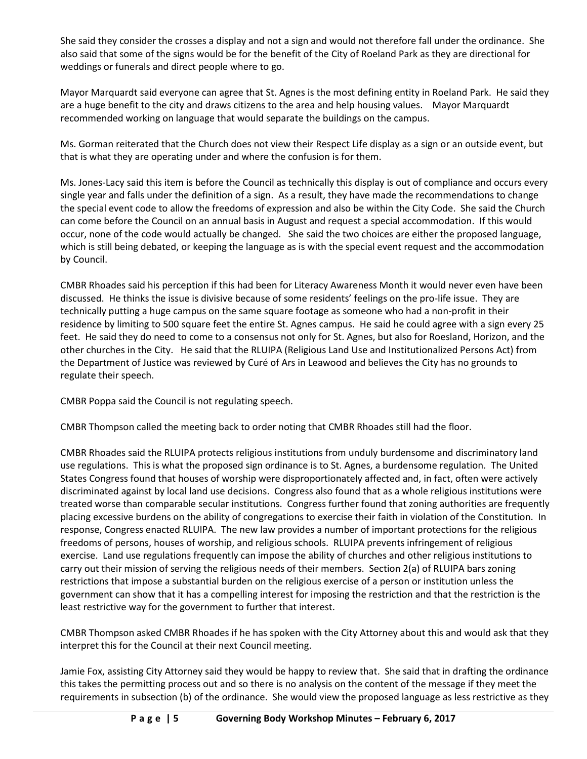She said they consider the crosses a display and not a sign and would not therefore fall under the ordinance. She also said that some of the signs would be for the benefit of the City of Roeland Park as they are directional for weddings or funerals and direct people where to go.

Mayor Marquardt said everyone can agree that St. Agnes is the most defining entity in Roeland Park. He said they are a huge benefit to the city and draws citizens to the area and help housing values. Mayor Marquardt recommended working on language that would separate the buildings on the campus.

Ms. Gorman reiterated that the Church does not view their Respect Life display as a sign or an outside event, but that is what they are operating under and where the confusion is for them.

Ms. Jones-Lacy said this item is before the Council as technically this display is out of compliance and occurs every single year and falls under the definition of a sign. As a result, they have made the recommendations to change the special event code to allow the freedoms of expression and also be within the City Code. She said the Church can come before the Council on an annual basis in August and request a special accommodation. If this would occur, none of the code would actually be changed. She said the two choices are either the proposed language, which is still being debated, or keeping the language as is with the special event request and the accommodation by Council.

CMBR Rhoades said his perception if this had been for Literacy Awareness Month it would never even have been discussed. He thinks the issue is divisive because of some residents' feelings on the pro-life issue. They are technically putting a huge campus on the same square footage as someone who had a non-profit in their residence by limiting to 500 square feet the entire St. Agnes campus. He said he could agree with a sign every 25 feet. He said they do need to come to a consensus not only for St. Agnes, but also for Roesland, Horizon, and the other churches in the City. He said that the RLUIPA (Religious Land Use and Institutionalized Persons Act) from the Department of Justice was reviewed by Curé of Ars in Leawood and believes the City has no grounds to regulate their speech.

CMBR Poppa said the Council is not regulating speech.

CMBR Thompson called the meeting back to order noting that CMBR Rhoades still had the floor.

CMBR Rhoades said the RLUIPA protects religious institutions from unduly burdensome and discriminatory land use regulations. This is what the proposed sign ordinance is to St. Agnes, a burdensome regulation. The United States Congress found that houses of worship were disproportionately affected and, in fact, often were actively discriminated against by local land use decisions. Congress also found that as a whole religious institutions were treated worse than comparable secular institutions. Congress further found that zoning authorities are frequently placing excessive burdens on the ability of congregations to exercise their faith in violation of the Constitution. In response, Congress enacted RLUIPA. The new law provides a number of important protections for the religious freedoms of persons, houses of worship, and religious schools. RLUIPA prevents infringement of religious exercise. Land use regulations frequently can impose the ability of churches and other religious institutions to carry out their mission of serving the religious needs of their members. Section 2(a) of RLUIPA bars zoning restrictions that impose a substantial burden on the religious exercise of a person or institution unless the government can show that it has a compelling interest for imposing the restriction and that the restriction is the least restrictive way for the government to further that interest.

CMBR Thompson asked CMBR Rhoades if he has spoken with the City Attorney about this and would ask that they interpret this for the Council at their next Council meeting.

Jamie Fox, assisting City Attorney said they would be happy to review that. She said that in drafting the ordinance this takes the permitting process out and so there is no analysis on the content of the message if they meet the requirements in subsection (b) of the ordinance. She would view the proposed language as less restrictive as they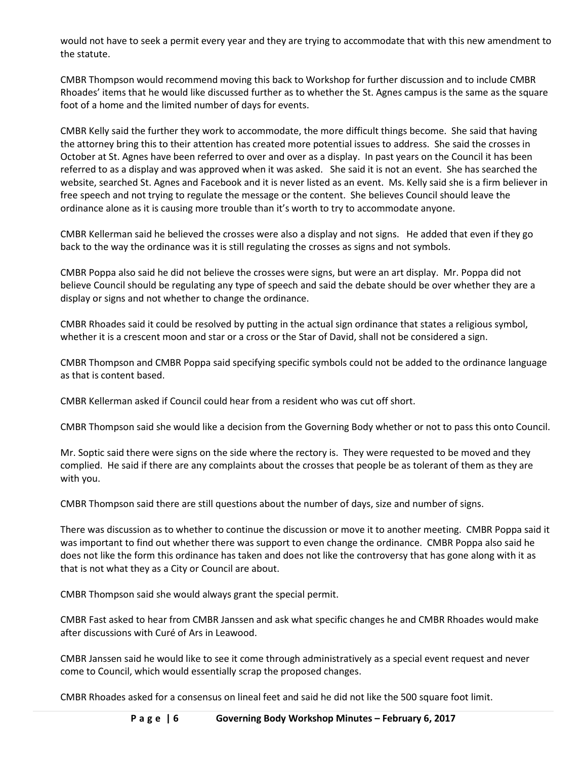would not have to seek a permit every year and they are trying to accommodate that with this new amendment to the statute.

CMBR Thompson would recommend moving this back to Workshop for further discussion and to include CMBR Rhoades' items that he would like discussed further as to whether the St. Agnes campus is the same as the square foot of a home and the limited number of days for events.

CMBR Kelly said the further they work to accommodate, the more difficult things become. She said that having the attorney bring this to their attention has created more potential issues to address. She said the crosses in October at St. Agnes have been referred to over and over as a display. In past years on the Council it has been referred to as a display and was approved when it was asked. She said it is not an event. She has searched the website, searched St. Agnes and Facebook and it is never listed as an event. Ms. Kelly said she is a firm believer in free speech and not trying to regulate the message or the content. She believes Council should leave the ordinance alone as it is causing more trouble than it's worth to try to accommodate anyone.

CMBR Kellerman said he believed the crosses were also a display and not signs. He added that even if they go back to the way the ordinance was it is still regulating the crosses as signs and not symbols.

CMBR Poppa also said he did not believe the crosses were signs, but were an art display. Mr. Poppa did not believe Council should be regulating any type of speech and said the debate should be over whether they are a display or signs and not whether to change the ordinance.

CMBR Rhoades said it could be resolved by putting in the actual sign ordinance that states a religious symbol, whether it is a crescent moon and star or a cross or the Star of David, shall not be considered a sign.

CMBR Thompson and CMBR Poppa said specifying specific symbols could not be added to the ordinance language as that is content based.

CMBR Kellerman asked if Council could hear from a resident who was cut off short.

CMBR Thompson said she would like a decision from the Governing Body whether or not to pass this onto Council.

Mr. Soptic said there were signs on the side where the rectory is. They were requested to be moved and they complied. He said if there are any complaints about the crosses that people be as tolerant of them as they are with you.

CMBR Thompson said there are still questions about the number of days, size and number of signs.

There was discussion as to whether to continue the discussion or move it to another meeting. CMBR Poppa said it was important to find out whether there was support to even change the ordinance. CMBR Poppa also said he does not like the form this ordinance has taken and does not like the controversy that has gone along with it as that is not what they as a City or Council are about.

CMBR Thompson said she would always grant the special permit.

CMBR Fast asked to hear from CMBR Janssen and ask what specific changes he and CMBR Rhoades would make after discussions with Curé of Ars in Leawood.

CMBR Janssen said he would like to see it come through administratively as a special event request and never come to Council, which would essentially scrap the proposed changes.

CMBR Rhoades asked for a consensus on lineal feet and said he did not like the 500 square foot limit.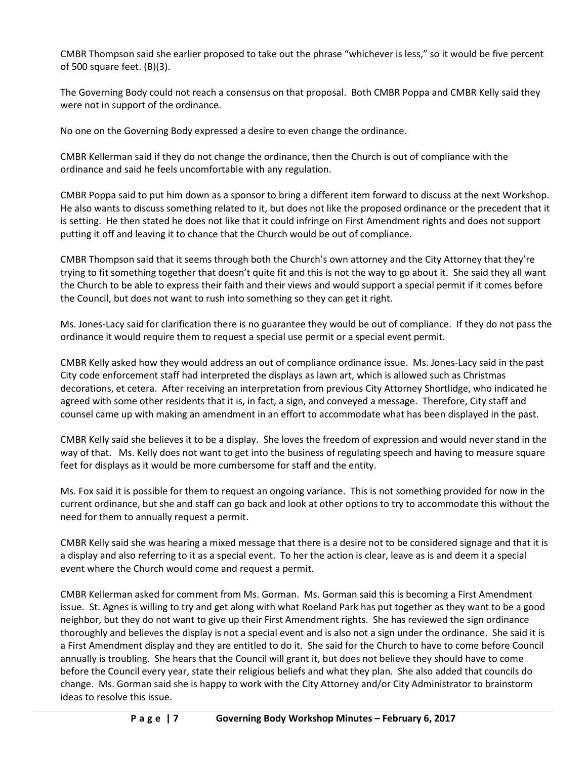CMBR Thompson said she earlier proposed to take out the phrase "whichever is less," so it would be five percent of 500 square feet. (B)(3).

The Governing Body could not reach a consensus on that proposal. Both CMBR Poppa and CMBR Kelly said they were not in support of the ordinance.

No one on the Governing Body expressed a desire to even change the ordinance.

CMBR Kellerman said if they do not change the ordinance, then the Church is out of compliance with the ordinance and said he feels uncomfortable with any regulation.

CMBR Poppa said to put him down as a sponsor to bring a different item forward to discuss at the next Workshop. He also wants to discuss something related to it, but does not like the proposed ordinance or the precedent that it is setting. He then stated he does not like that it could infringe on First Amendment rights and does not support putting it off and leaving it to chance that the Church would be out of compliance.

CMBR Thompson said that it seems through both the Church's own attorney and the City Attorney that they're trying to fit something together that doesn't quite fit and this is not the way to go about it. She said they all want the Church to be able to express their faith and their views and would support a special permit if it comes before the Council, but does not want to rush into something so they can get it right.

Ms. Jones-Lacy said for clarification there is no guarantee they would be out of compliance. If they do not pass the ordinance it would require them to request a special use permit or a special event permit.

CMBR Kelly asked how they would address an out of compliance ordinance issue. Ms. Jones-Lacy said in the past City code enforcement staff had interpreted the displays as lawn art, which is allowed such as Christmas decorations, et cetera. After receiving an interpretation from previous City Attorney Shortlidge, who indicated he agreed with some other residents that it is, in fact, a sign, and conveyed a message. Therefore, City staff and counsel came up with making an amendment in an effort to accommodate what has been displayed in the past.

CMBR Kelly said she believes it to be a display. She loves the freedom of expression and would never stand in the way of that. Ms. Kelly does not want to get into the business of regulating speech and having to measure square feet for displays as it would be more cumbersome for staff and the entity.

Ms. Fox said it is possible for them to request an ongoing variance. This is not something provided for now in the current ordinance, but she and staff can go back and look at other options to try to accommodate this without the need for them to annually request a permit.

CMBR Kelly said she was hearing a mixed message that there is a desire not to be considered signage and that it is a display and also referring to it as a special event. To her the action is clear, leave as is and deem it a special event where the Church would come and request a permit.

CMBR Kellerman asked for comment from Ms. Gorman. Ms. Gorman said this is becoming a First Amendment issue. St. Agnes is willing to try and get along with what Roeland Park has put together as they want to be a good neighbor, but they do not want to give up their First Amendment rights. She has reviewed the sign ordinance thoroughly and believes the display is not a special event and is also not a sign under the ordinance. She said it is a First Amendment display and they are entitled to do it. She said for the Church to have to come before Council annually is troubling. She hears that the Council will grant it, but does not believe they should have to come before the Council every year, state their religious beliefs and what they plan. She also added that councils do change. Ms. Gorman said she is happy to work with the City Attorney and/or City Administrator to brainstorm ideas to resolve this issue.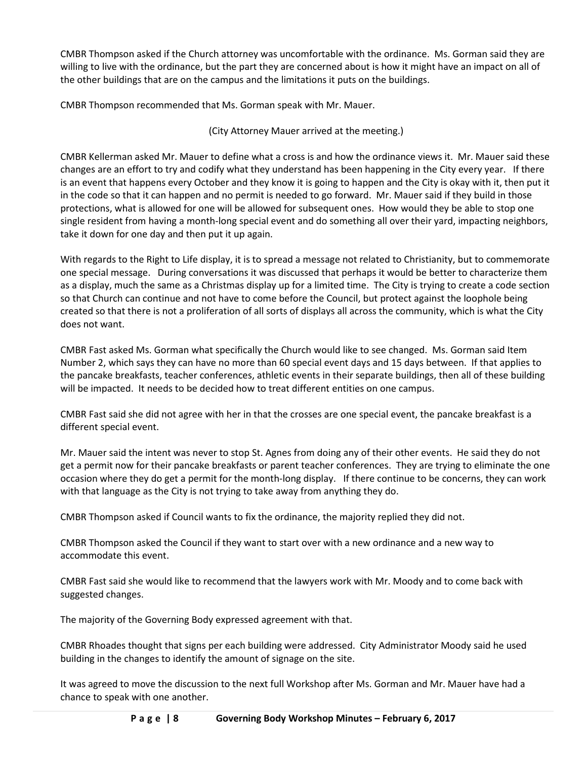CMBR Thompson asked if the Church attorney was uncomfortable with the ordinance. Ms. Gorman said they are willing to live with the ordinance, but the part they are concerned about is how it might have an impact on all of the other buildings that are on the campus and the limitations it puts on the buildings.

CMBR Thompson recommended that Ms. Gorman speak with Mr. Mauer.

(City Attorney Mauer arrived at the meeting.)

CMBR Kellerman asked Mr. Mauer to define what a cross is and how the ordinance views it. Mr. Mauer said these changes are an effort to try and codify what they understand has been happening in the City every year. If there is an event that happens every October and they know it is going to happen and the City is okay with it, then put it in the code so that it can happen and no permit is needed to go forward. Mr. Mauer said if they build in those protections, what is allowed for one will be allowed for subsequent ones. How would they be able to stop one single resident from having a month-long special event and do something all over their yard, impacting neighbors, take it down for one day and then put it up again.

With regards to the Right to Life display, it is to spread a message not related to Christianity, but to commemorate one special message. During conversations it was discussed that perhaps it would be better to characterize them as a display, much the same as a Christmas display up for a limited time. The City is trying to create a code section so that Church can continue and not have to come before the Council, but protect against the loophole being created so that there is not a proliferation of all sorts of displays all across the community, which is what the City does not want.

CMBR Fast asked Ms. Gorman what specifically the Church would like to see changed. Ms. Gorman said Item Number 2, which says they can have no more than 60 special event days and 15 days between. If that applies to the pancake breakfasts, teacher conferences, athletic events in their separate buildings, then all of these building will be impacted. It needs to be decided how to treat different entities on one campus.

CMBR Fast said she did not agree with her in that the crosses are one special event, the pancake breakfast is a different special event.

Mr. Mauer said the intent was never to stop St. Agnes from doing any of their other events. He said they do not get a permit now for their pancake breakfasts or parent teacher conferences. They are trying to eliminate the one occasion where they do get a permit for the month-long display. If there continue to be concerns, they can work with that language as the City is not trying to take away from anything they do.

CMBR Thompson asked if Council wants to fix the ordinance, the majority replied they did not.

CMBR Thompson asked the Council if they want to start over with a new ordinance and a new way to accommodate this event.

CMBR Fast said she would like to recommend that the lawyers work with Mr. Moody and to come back with suggested changes.

The majority of the Governing Body expressed agreement with that.

CMBR Rhoades thought that signs per each building were addressed. City Administrator Moody said he used building in the changes to identify the amount of signage on the site.

It was agreed to move the discussion to the next full Workshop after Ms. Gorman and Mr. Mauer have had a chance to speak with one another.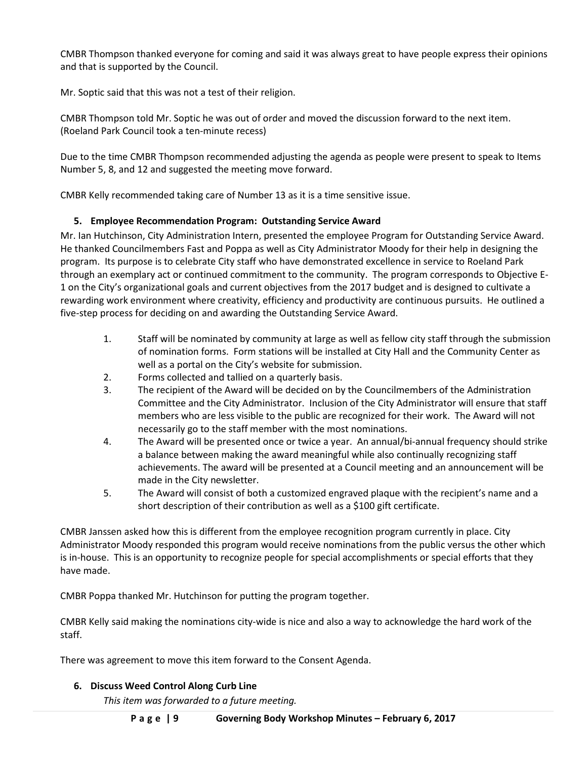CMBR Thompson thanked everyone for coming and said it was always great to have people express their opinions and that is supported by the Council.

Mr. Soptic said that this was not a test of their religion.

CMBR Thompson told Mr. Soptic he was out of order and moved the discussion forward to the next item. (Roeland Park Council took a ten-minute recess)

Due to the time CMBR Thompson recommended adjusting the agenda as people were present to speak to Items Number 5, 8, and 12 and suggested the meeting move forward.

CMBR Kelly recommended taking care of Number 13 as it is a time sensitive issue.

## **5. Employee Recommendation Program: Outstanding Service Award**

Mr. Ian Hutchinson, City Administration Intern, presented the employee Program for Outstanding Service Award. He thanked Councilmembers Fast and Poppa as well as City Administrator Moody for their help in designing the program. Its purpose is to celebrate City staff who have demonstrated excellence in service to Roeland Park through an exemplary act or continued commitment to the community. The program corresponds to Objective E-1 on the City's organizational goals and current objectives from the 2017 budget and is designed to cultivate a rewarding work environment where creativity, efficiency and productivity are continuous pursuits. He outlined a five-step process for deciding on and awarding the Outstanding Service Award.

- 1. Staff will be nominated by community at large as well as fellow city staff through the submission of nomination forms. Form stations will be installed at City Hall and the Community Center as well as a portal on the City's website for submission.
- 2. Forms collected and tallied on a quarterly basis.
- 3. The recipient of the Award will be decided on by the Councilmembers of the Administration Committee and the City Administrator. Inclusion of the City Administrator will ensure that staff members who are less visible to the public are recognized for their work. The Award will not necessarily go to the staff member with the most nominations.
- 4. The Award will be presented once or twice a year. An annual/bi-annual frequency should strike a balance between making the award meaningful while also continually recognizing staff achievements. The award will be presented at a Council meeting and an announcement will be made in the City newsletter.
- 5. The Award will consist of both a customized engraved plaque with the recipient's name and a short description of their contribution as well as a \$100 gift certificate.

CMBR Janssen asked how this is different from the employee recognition program currently in place. City Administrator Moody responded this program would receive nominations from the public versus the other which is in-house. This is an opportunity to recognize people for special accomplishments or special efforts that they have made.

CMBR Poppa thanked Mr. Hutchinson for putting the program together.

CMBR Kelly said making the nominations city-wide is nice and also a way to acknowledge the hard work of the staff.

There was agreement to move this item forward to the Consent Agenda.

### **6. Discuss Weed Control Along Curb Line**

*This item was forwarded to a future meeting.*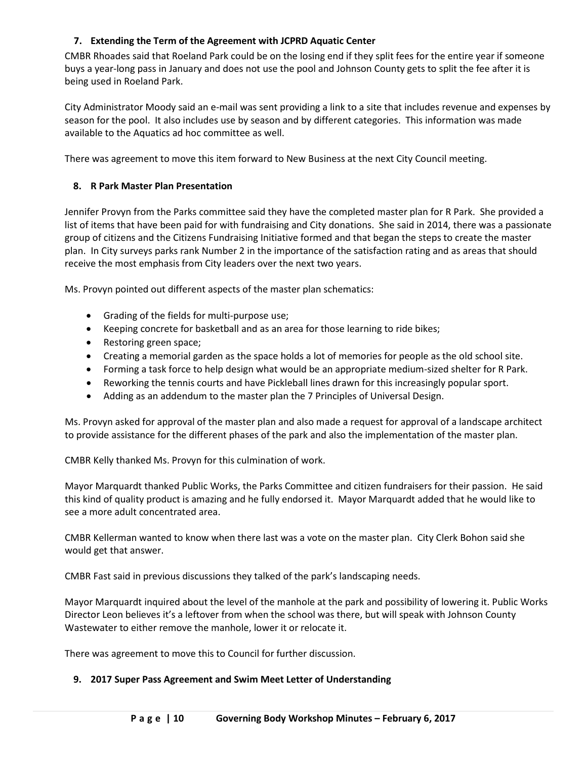## **7. Extending the Term of the Agreement with JCPRD Aquatic Center**

CMBR Rhoades said that Roeland Park could be on the losing end if they split fees for the entire year if someone buys a year-long pass in January and does not use the pool and Johnson County gets to split the fee after it is being used in Roeland Park.

City Administrator Moody said an e-mail was sent providing a link to a site that includes revenue and expenses by season for the pool. It also includes use by season and by different categories. This information was made available to the Aquatics ad hoc committee as well.

There was agreement to move this item forward to New Business at the next City Council meeting.

### **8. R Park Master Plan Presentation**

Jennifer Provyn from the Parks committee said they have the completed master plan for R Park. She provided a list of items that have been paid for with fundraising and City donations. She said in 2014, there was a passionate group of citizens and the Citizens Fundraising Initiative formed and that began the steps to create the master plan. In City surveys parks rank Number 2 in the importance of the satisfaction rating and as areas that should receive the most emphasis from City leaders over the next two years.

Ms. Provyn pointed out different aspects of the master plan schematics:

- Grading of the fields for multi-purpose use;
- Keeping concrete for basketball and as an area for those learning to ride bikes;
- Restoring green space;
- Creating a memorial garden as the space holds a lot of memories for people as the old school site.
- Forming a task force to help design what would be an appropriate medium-sized shelter for R Park.
- Reworking the tennis courts and have Pickleball lines drawn for this increasingly popular sport.
- Adding as an addendum to the master plan the 7 Principles of Universal Design.

Ms. Provyn asked for approval of the master plan and also made a request for approval of a landscape architect to provide assistance for the different phases of the park and also the implementation of the master plan.

CMBR Kelly thanked Ms. Provyn for this culmination of work.

Mayor Marquardt thanked Public Works, the Parks Committee and citizen fundraisers for their passion. He said this kind of quality product is amazing and he fully endorsed it. Mayor Marquardt added that he would like to see a more adult concentrated area.

CMBR Kellerman wanted to know when there last was a vote on the master plan. City Clerk Bohon said she would get that answer.

CMBR Fast said in previous discussions they talked of the park's landscaping needs.

Mayor Marquardt inquired about the level of the manhole at the park and possibility of lowering it. Public Works Director Leon believes it's a leftover from when the school was there, but will speak with Johnson County Wastewater to either remove the manhole, lower it or relocate it.

There was agreement to move this to Council for further discussion.

#### **9. 2017 Super Pass Agreement and Swim Meet Letter of Understanding**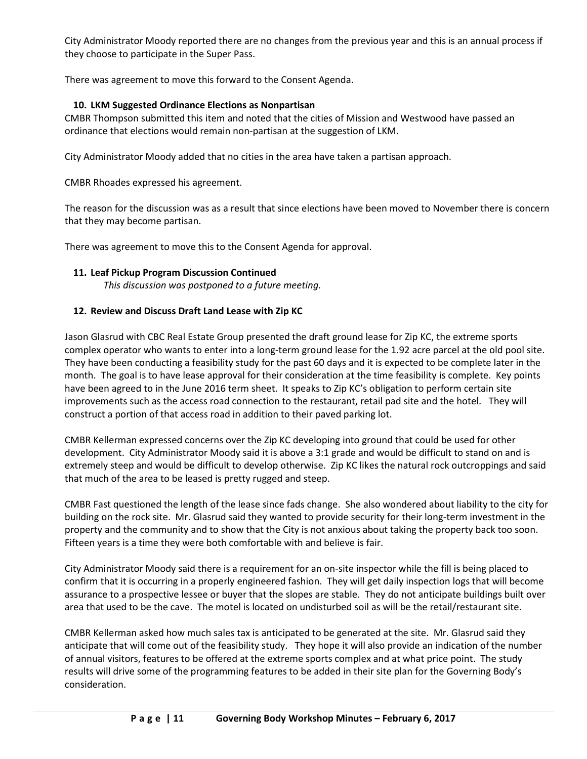City Administrator Moody reported there are no changes from the previous year and this is an annual process if they choose to participate in the Super Pass.

There was agreement to move this forward to the Consent Agenda.

## **10. LKM Suggested Ordinance Elections as Nonpartisan**

CMBR Thompson submitted this item and noted that the cities of Mission and Westwood have passed an ordinance that elections would remain non-partisan at the suggestion of LKM.

City Administrator Moody added that no cities in the area have taken a partisan approach.

CMBR Rhoades expressed his agreement.

The reason for the discussion was as a result that since elections have been moved to November there is concern that they may become partisan.

There was agreement to move this to the Consent Agenda for approval.

#### **11. Leaf Pickup Program Discussion Continued**

*This discussion was postponed to a future meeting.*

## **12. Review and Discuss Draft Land Lease with Zip KC**

Jason Glasrud with CBC Real Estate Group presented the draft ground lease for Zip KC, the extreme sports complex operator who wants to enter into a long-term ground lease for the 1.92 acre parcel at the old pool site. They have been conducting a feasibility study for the past 60 days and it is expected to be complete later in the month. The goal is to have lease approval for their consideration at the time feasibility is complete. Key points have been agreed to in the June 2016 term sheet. It speaks to Zip KC's obligation to perform certain site improvements such as the access road connection to the restaurant, retail pad site and the hotel. They will construct a portion of that access road in addition to their paved parking lot.

CMBR Kellerman expressed concerns over the Zip KC developing into ground that could be used for other development. City Administrator Moody said it is above a 3:1 grade and would be difficult to stand on and is extremely steep and would be difficult to develop otherwise. Zip KC likes the natural rock outcroppings and said that much of the area to be leased is pretty rugged and steep.

CMBR Fast questioned the length of the lease since fads change. She also wondered about liability to the city for building on the rock site. Mr. Glasrud said they wanted to provide security for their long-term investment in the property and the community and to show that the City is not anxious about taking the property back too soon. Fifteen years is a time they were both comfortable with and believe is fair.

City Administrator Moody said there is a requirement for an on-site inspector while the fill is being placed to confirm that it is occurring in a properly engineered fashion. They will get daily inspection logs that will become assurance to a prospective lessee or buyer that the slopes are stable. They do not anticipate buildings built over area that used to be the cave. The motel is located on undisturbed soil as will be the retail/restaurant site.

CMBR Kellerman asked how much sales tax is anticipated to be generated at the site. Mr. Glasrud said they anticipate that will come out of the feasibility study. They hope it will also provide an indication of the number of annual visitors, features to be offered at the extreme sports complex and at what price point. The study results will drive some of the programming features to be added in their site plan for the Governing Body's consideration.